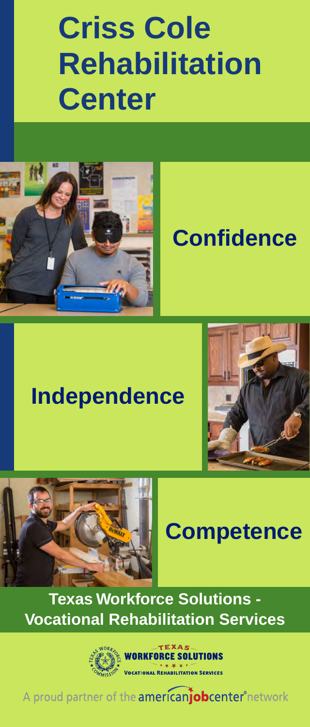# **Criss Cole Rehabilitation Center**



## **Confidence**

## **Independence**





## **Competence**

**Texas Workforce Solutions - Vocational Rehabilitation Services**



A proud partner of the **americant obcenter** network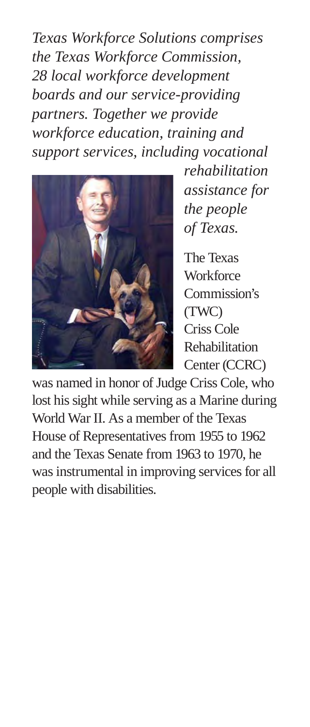*Texas Workforce Solutions comprises the Texas Workforce Commission, 28 local workforce development boards and our service-providing partners. Together we provide workforce education, training and support services, including vocational*



*rehabilitation assistance for the people of Texas.*

The Texas **Workforce** Commission's (TWC) Criss Cole Rehabilitation Center (CCRC)

was named in honor of Judge Criss Cole, who lost his sight while serving as a Marine during World War II. As a member of the Texas House of Representatives from 1955 to 1962 and the Texas Senate from 1963 to 1970, he was instrumental in improving services for all people with disabilities.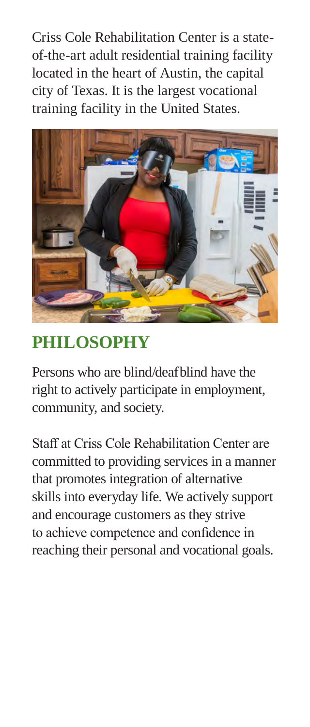Criss Cole Rehabilitation Center is a stateof-the-art adult residential training facility located in the heart of Austin, the capital city of Texas. It is the largest vocational training facility in the United States.



## **PHILOSOPHY**

Persons who are blind/deafblind have the right to actively participate in employment, community, and society.

Staff at Criss Cole Rehabilitation Center are committed to providing services in a manner that promotes integration of alternative skills into everyday life. We actively support and encourage customers as they strive to achieve competence and confidence in reaching their personal and vocational goals.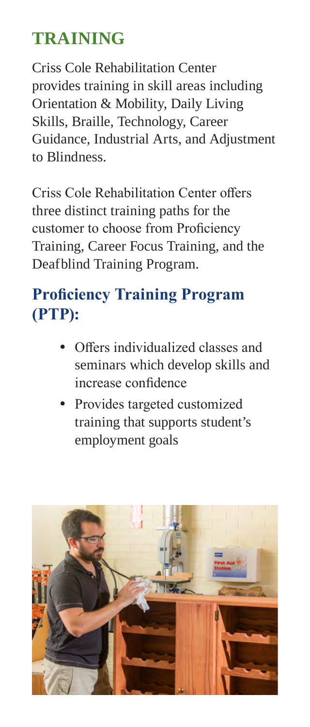## **TRAINING**

Criss Cole Rehabilitation Center provides training in skill areas including Orientation & Mobility, Daily Living Skills, Braille, Technology, Career Guidance, Industrial Arts, and Adjustment to Blindness.

Criss Cole Rehabilitation Center offers three distinct training paths for the customer to choose from Proficiency Training, Career Focus Training, and the Deafblind Training Program.

## **Proficiency Training Program (PTP):**

- Offers individualized classes and seminars which develop skills and increase confidence
- Provides targeted customized training that supports student's employment goals

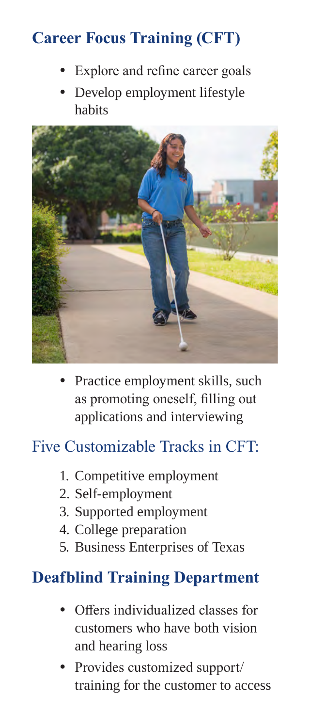## **Career Focus Training (CFT)**

- Explore and refine career goals
- Develop employment lifestyle habits



• Practice employment skills, such as promoting oneself, filling out applications and interviewing

### Five Customizable Tracks in CFT:

- 1. Competitive employment
- 2. Self-employment
- 3. Supported employment
- 4. College preparation
- 5. Business Enterprises of Texas

### **Deafblind Training Department**

- Offers individualized classes for customers who have both vision and hearing loss
- Provides customized support/ training for the customer to access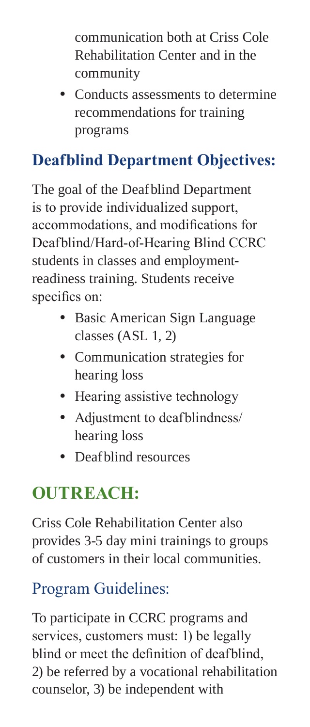communication both at Criss Cole Rehabilitation Center and in the community

• Conducts assessments to determine recommendations for training programs

## **Deafblind Department Objectives:**

The goal of the Deafblind Department is to provide individualized support, accommodations, and modifications for Deafblind/Hard-of-Hearing Blind CCRC students in classes and employmentreadiness training. Students receive specifics on:

- Basic American Sign Language classes (ASL 1, 2)
- Communication strategies for hearing loss
- Hearing assistive technology
- Adjustment to deafblindness/ hearing loss
- Deafblind resources

## **OUTREACH:**

Criss Cole Rehabilitation Center also provides 3-5 day mini trainings to groups of customers in their local communities.

## Program Guidelines:

To participate in CCRC programs and services, customers must: 1) be legally blind or meet the definition of deafblind, 2) be referred by a vocational rehabilitation counselor, 3) be independent with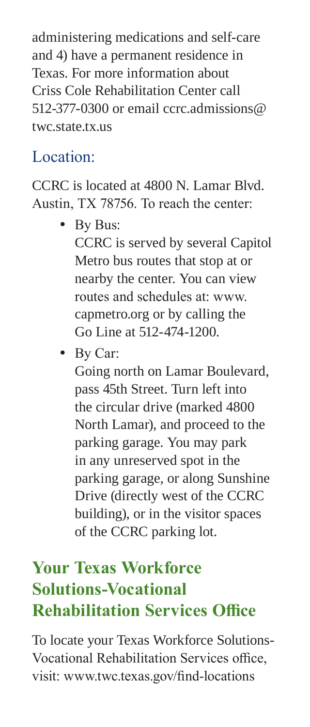administering medications and self-care and 4) have a permanent residence in Texas. For more information about Criss Cole Rehabilitation Center call 512-377-0300 or email [ccrc.admissions@](mailto:ccrc.admissions@twc.state.tx.us) [twc.state.tx.us](mailto:ccrc.admissions@twc.state.tx.us)

### Location:

CCRC is located at 4800 N. Lamar Blvd. Austin, TX 78756. To reach the center:

- By Bus: CCRC is served by several Capitol Metro bus routes that stop at or nearby the center. You can view routes and schedules at: [www.](https://capmetro.org/) [capmetro.org](https://capmetro.org/) or by calling the Go Line at 512-474-1200.
- By Car:

Going north on Lamar Boulevard, pass 45th Street. Turn left into the circular drive (marked 4800 North Lamar), and proceed to the parking garage. You may park in any unreserved spot in the parking garage, or along Sunshine Drive (directly west of the CCRC building), or in the visitor spaces of the CCRC parking lot.

## **Your Texas Workforce Solutions-Vocational Rehabilitation Services Office**

To locate your Texas Workforce Solutions-Vocational Rehabilitation Services office, [visit: www.twc.texas.gov/find-locations](https://twc.texas.gov/find-locations)